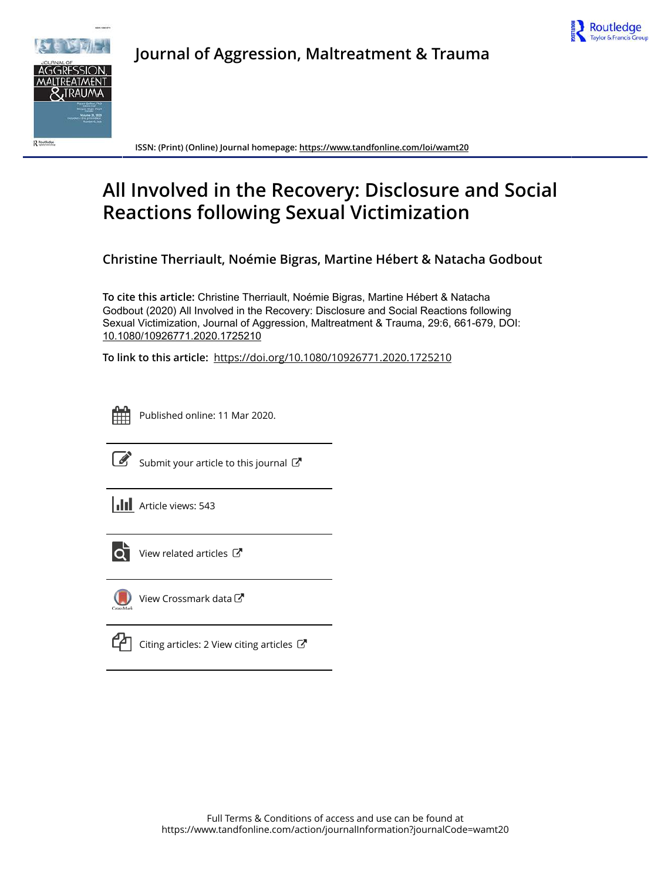



**Journal of Aggression, Maltreatment & Trauma**

**ISSN: (Print) (Online) Journal homepage:<https://www.tandfonline.com/loi/wamt20>**

# **All Involved in the Recovery: Disclosure and Social Reactions following Sexual Victimization**

**Christine Therriault, Noémie Bigras, Martine Hébert & Natacha Godbout**

**To cite this article:** Christine Therriault, Noémie Bigras, Martine Hébert & Natacha Godbout (2020) All Involved in the Recovery: Disclosure and Social Reactions following Sexual Victimization, Journal of Aggression, Maltreatment & Trauma, 29:6, 661-679, DOI: [10.1080/10926771.2020.1725210](https://www.tandfonline.com/action/showCitFormats?doi=10.1080/10926771.2020.1725210)

**To link to this article:** <https://doi.org/10.1080/10926771.2020.1725210>

|  | ٠   | ٠ |  |  |
|--|-----|---|--|--|
|  |     |   |  |  |
|  |     |   |  |  |
|  | . . |   |  |  |

Published online: 11 Mar 2020.



 $\overrightarrow{S}$  [Submit your article to this journal](https://www.tandfonline.com/action/authorSubmission?journalCode=wamt20&show=instructions)  $\overrightarrow{S}$ 

**III** Article views: 543



[View related articles](https://www.tandfonline.com/doi/mlt/10.1080/10926771.2020.1725210) C



[View Crossmark data](http://crossmark.crossref.org/dialog/?doi=10.1080/10926771.2020.1725210&domain=pdf&date_stamp=2020-03-11)<sup>√</sup>

|--|

[Citing articles: 2 View citing articles](https://www.tandfonline.com/doi/citedby/10.1080/10926771.2020.1725210#tabModule)  $\mathbb{Z}$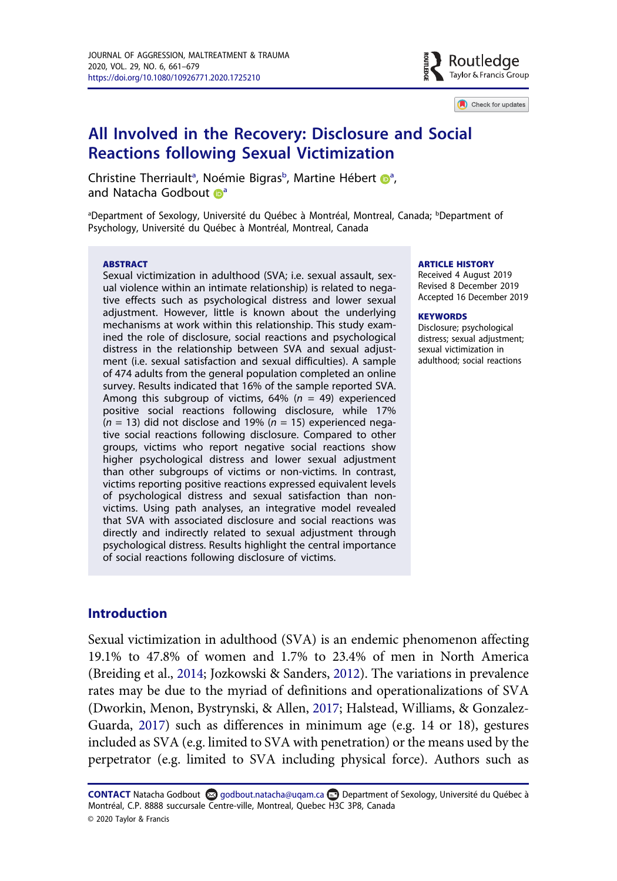

Check for updates

# All Involved in the Recovery: Disclosure and Social Reactions following Sexual Victimization

Christine Therri[a](#page-1-0)ult<sup>a</sup>, Noémie Bigras<sup>b</sup>, Martine Hébert **D**<sup>a</sup>, and Na[t](http://orcid.org/0000-0002-2997-5237)[a](#page-1-0)cha Godbout <sup>a</sup>

<span id="page-1-0"></span><sup>a</sup>Department of Sexology, Université du Québec à Montréal, Montreal, Canada; <sup>b</sup>Department of Psychology, Université du Québec à Montréal, Montreal, Canada

#### **ABSTRACT**

Sexual victimization in adulthood (SVA; i.e. sexual assault, sexual violence within an intimate relationship) is related to negative effects such as psychological distress and lower sexual adjustment. However, little is known about the underlying mechanisms at work within this relationship. This study examined the role of disclosure, social reactions and psychological distress in the relationship between SVA and sexual adjustment (i.e. sexual satisfaction and sexual difficulties). A sample of 474 adults from the general population completed an online survey. Results indicated that 16% of the sample reported SVA. Among this subgroup of victims, 64% ( $n = 49$ ) experienced positive social reactions following disclosure, while 17%  $(n = 13)$  did not disclose and 19%  $(n = 15)$  experienced negative social reactions following disclosure. Compared to other groups, victims who report negative social reactions show higher psychological distress and lower sexual adjustment than other subgroups of victims or non-victims. In contrast, victims reporting positive reactions expressed equivalent levels of psychological distress and sexual satisfaction than nonvictims. Using path analyses, an integrative model revealed that SVA with associated disclosure and social reactions was directly and indirectly related to sexual adjustment through psychological distress. Results highlight the central importance of social reactions following disclosure of victims.

#### ARTICLE HISTORY

Received 4 August 2019 Revised 8 December 2019 Accepted 16 December 2019

#### **KEYWORDS**

Disclosure; psychological distress; sexual adjustment; sexual victimization in adulthood; social reactions

#### Introduction

<span id="page-1-2"></span><span id="page-1-1"></span>Sexual victimization in adulthood (SVA) is an endemic phenomenon affecting 19.1% to 47.8% of women and 1.7% to 23.4% of men in North America (Breiding et al., [2014](#page-16-0); Jozkowski & Sanders, [2012\)](#page-17-0). The variations in prevalence rates may be due to the myriad of definitions and operationalizations of SVA (Dworkin, Menon, Bystrynski, & Allen, [2017](#page-16-1); Halstead, Williams, & Gonzalez-Guarda, [2017\)](#page-17-1) such as differences in minimum age (e.g. 14 or 18), gestures included as SVA (e.g. limited to SVA with penetration) or the means used by the perpetrator (e.g. limited to SVA including physical force). Authors such as

<span id="page-1-3"></span>CONTACT Natacha Godbout @ godbout.natacha@uqam.ca @ Department of Sexology, Université du Québec à Montréal, C.P. 8888 succursale Centre-ville, Montreal, Quebec H3C 3P8, Canada © 2020 Taylor & Francis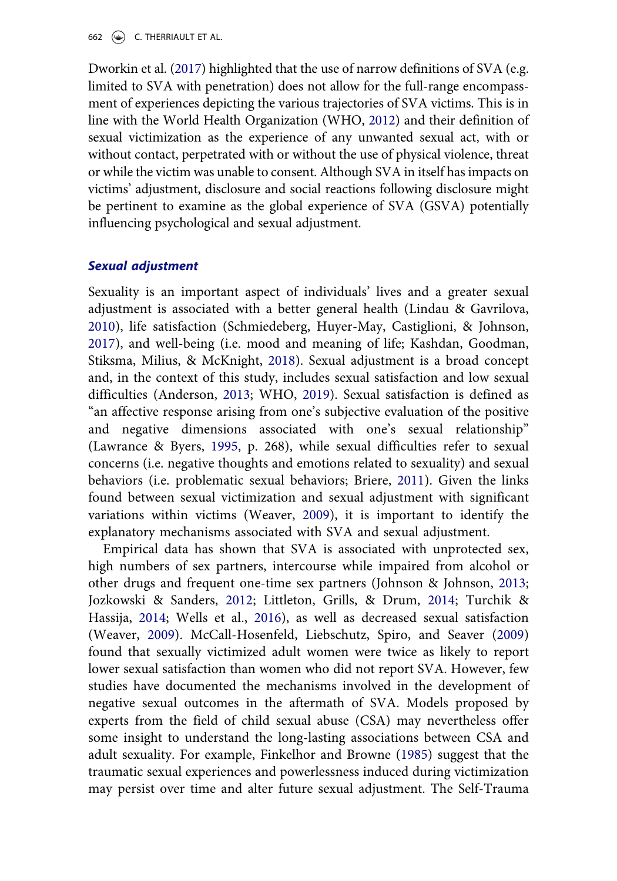<span id="page-2-11"></span>Dworkin et al. ([2017](#page-16-1)) highlighted that the use of narrow definitions of SVA (e.g. limited to SVA with penetration) does not allow for the full-range encompassment of experiences depicting the various trajectories of SVA victims. This is in line with the World Health Organization (WHO, [2012\)](#page-19-0) and their definition of sexual victimization as the experience of any unwanted sexual act, with or without contact, perpetrated with or without the use of physical violence, threat or while the victim was unable to consent. Although SVA in itself has impacts on victims' adjustment, disclosure and social reactions following disclosure might be pertinent to examine as the global experience of SVA (GSVA) potentially influencing psychological and sexual adjustment.

## Sexual adjustment

<span id="page-2-9"></span><span id="page-2-6"></span><span id="page-2-4"></span><span id="page-2-0"></span>Sexuality is an important aspect of individuals' lives and a greater sexual adjustment is associated with a better general health (Lindau & Gavrilova, [2010](#page-17-2)), life satisfaction (Schmiedeberg, Huyer-May, Castiglioni, & Johnson, [2017](#page-18-0)), and well-being (i.e. mood and meaning of life; Kashdan, Goodman, Stiksma, Milius, & McKnight, [2018](#page-17-3)). Sexual adjustment is a broad concept and, in the context of this study, includes sexual satisfaction and low sexual difficulties (Anderson, [2013](#page-15-0); WHO, [2019](#page-19-1)). Sexual satisfaction is defined as "an affective response arising from one's subjective evaluation of the positive and negative dimensions associated with one's sexual relationship" (Lawrance & Byers, [1995](#page-17-4), p. 268), while sexual difficulties refer to sexual concerns (i.e. negative thoughts and emotions related to sexuality) and sexual behaviors (i.e. problematic sexual behaviors; Briere, [2011\)](#page-16-2). Given the links found between sexual victimization and sexual adjustment with significant variations within victims (Weaver, [2009](#page-19-2)), it is important to identify the explanatory mechanisms associated with SVA and sexual adjustment.

<span id="page-2-10"></span><span id="page-2-8"></span><span id="page-2-7"></span><span id="page-2-5"></span><span id="page-2-3"></span><span id="page-2-2"></span><span id="page-2-1"></span>Empirical data has shown that SVA is associated with unprotected sex, high numbers of sex partners, intercourse while impaired from alcohol or other drugs and frequent one-time sex partners (Johnson & Johnson, [2013](#page-17-5); Jozkowski & Sanders, [2012;](#page-17-0) Littleton, Grills, & Drum, [2014;](#page-17-6) Turchik & Hassija, [2014;](#page-18-1) Wells et al., [2016\)](#page-19-3), as well as decreased sexual satisfaction (Weaver, [2009\)](#page-19-2). McCall-Hosenfeld, Liebschutz, Spiro, and Seaver ([2009](#page-18-2)) found that sexually victimized adult women were twice as likely to report lower sexual satisfaction than women who did not report SVA. However, few studies have documented the mechanisms involved in the development of negative sexual outcomes in the aftermath of SVA. Models proposed by experts from the field of child sexual abuse (CSA) may nevertheless offer some insight to understand the long-lasting associations between CSA and adult sexuality. For example, Finkelhor and Browne [\(1985](#page-16-3)) suggest that the traumatic sexual experiences and powerlessness induced during victimization may persist over time and alter future sexual adjustment. The Self-Trauma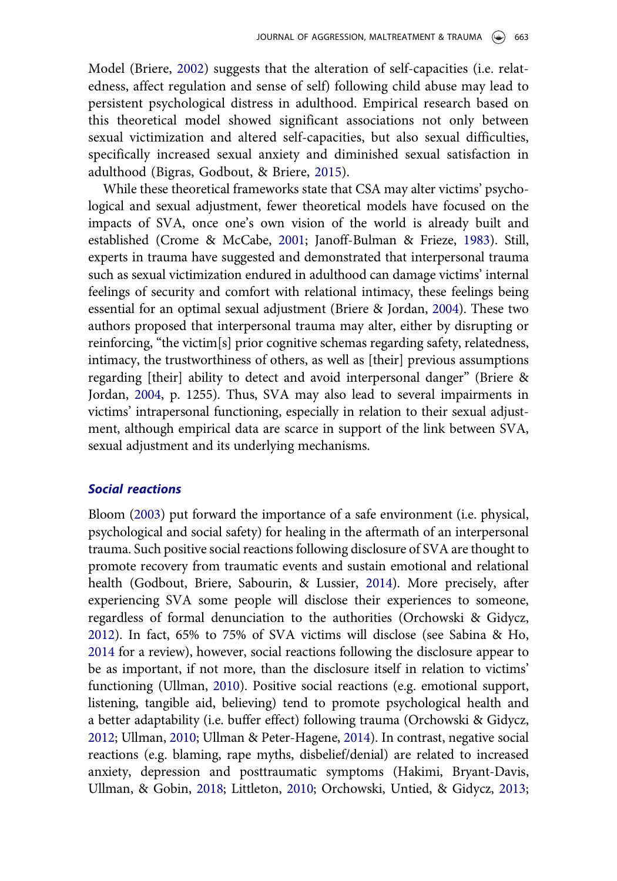<span id="page-3-2"></span>Model (Briere, [2002\)](#page-16-4) suggests that the alteration of self-capacities (i.e. relatedness, affect regulation and sense of self) following child abuse may lead to persistent psychological distress in adulthood. Empirical research based on this theoretical model showed significant associations not only between sexual victimization and altered self-capacities, but also sexual difficulties, specifically increased sexual anxiety and diminished sexual satisfaction in adulthood (Bigras, Godbout, & Briere, [2015](#page-15-1)).

<span id="page-3-4"></span><span id="page-3-0"></span>While these theoretical frameworks state that CSA may alter victims' psychological and sexual adjustment, fewer theoretical models have focused on the impacts of SVA, once one's own vision of the world is already built and established (Crome & McCabe, [2001](#page-16-5); Janoff-Bulman & Frieze, [1983](#page-17-7)). Still, experts in trauma have suggested and demonstrated that interpersonal trauma such as sexual victimization endured in adulthood can damage victims' internal feelings of security and comfort with relational intimacy, these feelings being essential for an optimal sexual adjustment (Briere & Jordan, [2004\)](#page-16-6). These two authors proposed that interpersonal trauma may alter, either by disrupting or reinforcing, "the victim[s] prior cognitive schemas regarding safety, relatedness, intimacy, the trustworthiness of others, as well as [their] previous assumptions regarding [their] ability to detect and avoid interpersonal danger" (Briere & Jordan, [2004,](#page-16-6) p. 1255). Thus, SVA may also lead to several impairments in victims' intrapersonal functioning, especially in relation to their sexual adjustment, although empirical data are scarce in support of the link between SVA, sexual adjustment and its underlying mechanisms.

#### <span id="page-3-3"></span>Social reactions

<span id="page-3-9"></span><span id="page-3-8"></span><span id="page-3-7"></span><span id="page-3-6"></span><span id="page-3-5"></span><span id="page-3-1"></span>Bloom [\(2003](#page-15-2)) put forward the importance of a safe environment (i.e. physical, psychological and social safety) for healing in the aftermath of an interpersonal trauma. Such positive social reactions following disclosure of SVA are thought to promote recovery from traumatic events and sustain emotional and relational health (Godbout, Briere, Sabourin, & Lussier, [2014](#page-16-7)). More precisely, after experiencing SVA some people will disclose their experiences to someone, regardless of formal denunciation to the authorities (Orchowski & Gidycz, [2012\)](#page-18-3). In fact, 65% to 75% of SVA victims will disclose (see Sabina & Ho, [2014](#page-18-4) for a review), however, social reactions following the disclosure appear to be as important, if not more, than the disclosure itself in relation to victims' functioning (Ullman, [2010\)](#page-19-4). Positive social reactions (e.g. emotional support, listening, tangible aid, believing) tend to promote psychological health and a better adaptability (i.e. buffer effect) following trauma (Orchowski & Gidycz, [2012;](#page-18-3) Ullman, [2010](#page-19-4); Ullman & Peter-Hagene, [2014](#page-19-5)). In contrast, negative social reactions (e.g. blaming, rape myths, disbelief/denial) are related to increased anxiety, depression and posttraumatic symptoms (Hakimi, Bryant-Davis, Ullman, & Gobin, [2018](#page-17-8); Littleton, [2010;](#page-17-9) Orchowski, Untied, & Gidycz, [2013](#page-18-5);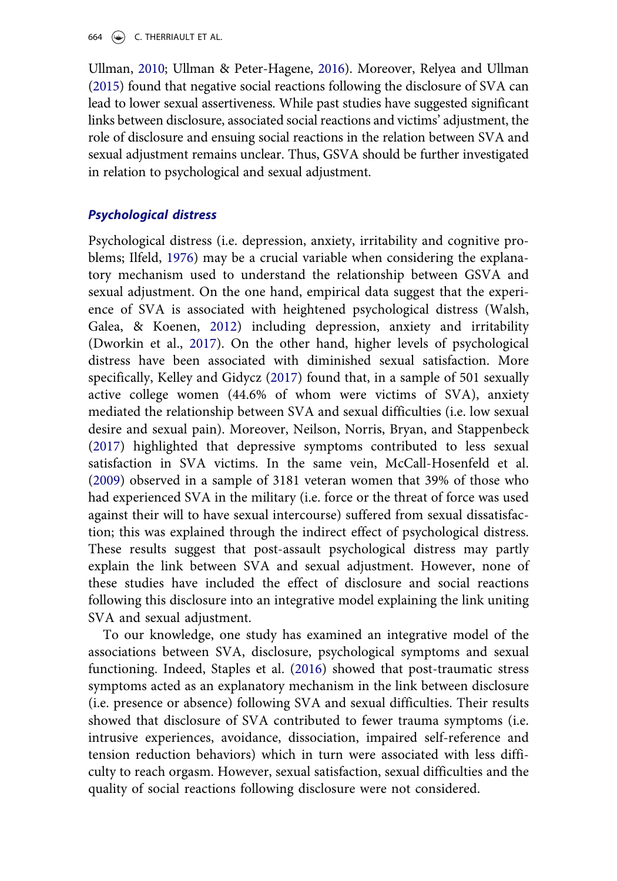664  $\left(\rightarrow\right)$  C. THERRIAULT ET AL.

<span id="page-4-5"></span><span id="page-4-3"></span>Ullman, [2010](#page-19-4); Ullman & Peter-Hagene, [2016](#page-19-6)). Moreover, Relyea and Ullman ([2015\)](#page-18-6) found that negative social reactions following the disclosure of SVA can lead to lower sexual assertiveness. While past studies have suggested significant links between disclosure, associated social reactions and victims' adjustment, the role of disclosure and ensuing social reactions in the relation between SVA and sexual adjustment remains unclear. Thus, GSVA should be further investigated in relation to psychological and sexual adjustment.

#### Psychological distress

<span id="page-4-6"></span><span id="page-4-1"></span><span id="page-4-0"></span>Psychological distress (i.e. depression, anxiety, irritability and cognitive problems; Ilfeld, [1976](#page-17-10)) may be a crucial variable when considering the explanatory mechanism used to understand the relationship between GSVA and sexual adjustment. On the one hand, empirical data suggest that the experience of SVA is associated with heightened psychological distress (Walsh, Galea, & Koenen, [2012\)](#page-19-7) including depression, anxiety and irritability (Dworkin et al., [2017\)](#page-16-1). On the other hand, higher levels of psychological distress have been associated with diminished sexual satisfaction. More specifically, Kelley and Gidycz [\(2017](#page-17-11)) found that, in a sample of 501 sexually active college women (44.6% of whom were victims of SVA), anxiety mediated the relationship between SVA and sexual difficulties (i.e. low sexual desire and sexual pain). Moreover, Neilson, Norris, Bryan, and Stappenbeck [\(2017](#page-18-7)) highlighted that depressive symptoms contributed to less sexual satisfaction in SVA victims. In the same vein, McCall-Hosenfeld et al. [\(2009](#page-18-2)) observed in a sample of 3181 veteran women that 39% of those who had experienced SVA in the military (i.e. force or the threat of force was used against their will to have sexual intercourse) suffered from sexual dissatisfaction; this was explained through the indirect effect of psychological distress. These results suggest that post-assault psychological distress may partly explain the link between SVA and sexual adjustment. However, none of these studies have included the effect of disclosure and social reactions following this disclosure into an integrative model explaining the link uniting SVA and sexual adjustment.

<span id="page-4-4"></span><span id="page-4-2"></span>To our knowledge, one study has examined an integrative model of the associations between SVA, disclosure, psychological symptoms and sexual functioning. Indeed, Staples et al. ([2016](#page-18-8)) showed that post-traumatic stress symptoms acted as an explanatory mechanism in the link between disclosure (i.e. presence or absence) following SVA and sexual difficulties. Their results showed that disclosure of SVA contributed to fewer trauma symptoms (i.e. intrusive experiences, avoidance, dissociation, impaired self-reference and tension reduction behaviors) which in turn were associated with less difficulty to reach orgasm. However, sexual satisfaction, sexual difficulties and the quality of social reactions following disclosure were not considered.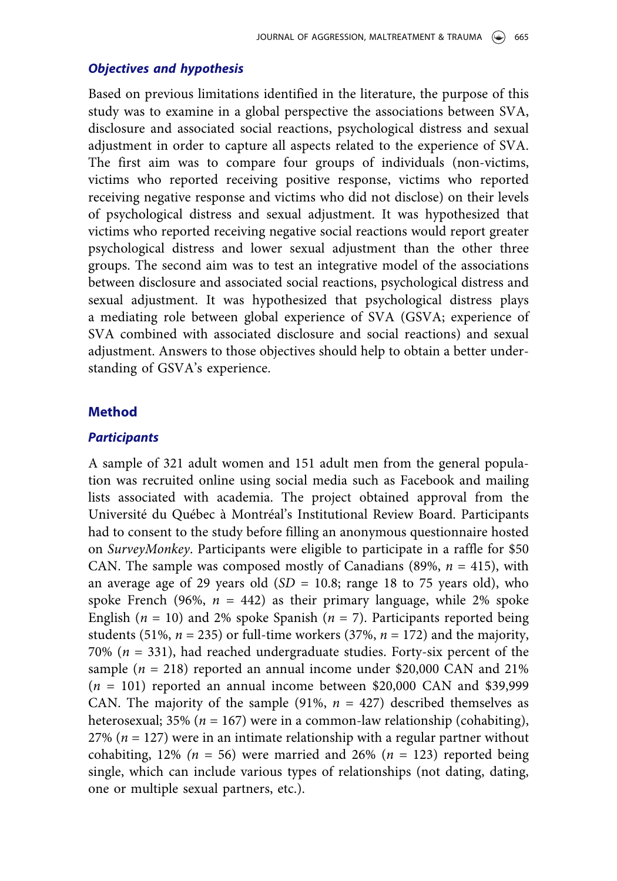#### Objectives and hypothesis

Based on previous limitations identified in the literature, the purpose of this study was to examine in a global perspective the associations between SVA, disclosure and associated social reactions, psychological distress and sexual adjustment in order to capture all aspects related to the experience of SVA. The first aim was to compare four groups of individuals (non-victims, victims who reported receiving positive response, victims who reported receiving negative response and victims who did not disclose) on their levels of psychological distress and sexual adjustment. It was hypothesized that victims who reported receiving negative social reactions would report greater psychological distress and lower sexual adjustment than the other three groups. The second aim was to test an integrative model of the associations between disclosure and associated social reactions, psychological distress and sexual adjustment. It was hypothesized that psychological distress plays a mediating role between global experience of SVA (GSVA; experience of SVA combined with associated disclosure and social reactions) and sexual adjustment. Answers to those objectives should help to obtain a better understanding of GSVA's experience.

#### Method

#### **Participants**

A sample of 321 adult women and 151 adult men from the general population was recruited online using social media such as Facebook and mailing lists associated with academia. The project obtained approval from the Université du Québec à Montréal's Institutional Review Board. Participants had to consent to the study before filling an anonymous questionnaire hosted on SurveyMonkey. Participants were eligible to participate in a raffle for \$50 CAN. The sample was composed mostly of Canadians (89%,  $n = 415$ ), with an average age of 29 years old  $(SD = 10.8;$  range 18 to 75 years old), who spoke French (96%,  $n = 442$ ) as their primary language, while 2% spoke English ( $n = 10$ ) and 2% spoke Spanish ( $n = 7$ ). Participants reported being students (51%,  $n = 235$ ) or full-time workers (37%,  $n = 172$ ) and the majority, 70% ( $n = 331$ ), had reached undergraduate studies. Forty-six percent of the sample ( $n = 218$ ) reported an annual income under \$20,000 CAN and 21%  $(n = 101)$  reported an annual income between \$20,000 CAN and \$39,999 CAN. The majority of the sample (91%,  $n = 427$ ) described themselves as heterosexual; 35% ( $n = 167$ ) were in a common-law relationship (cohabiting), 27% ( $n = 127$ ) were in an intimate relationship with a regular partner without cohabiting, 12% ( $n = 56$ ) were married and 26% ( $n = 123$ ) reported being single, which can include various types of relationships (not dating, dating, one or multiple sexual partners, etc.).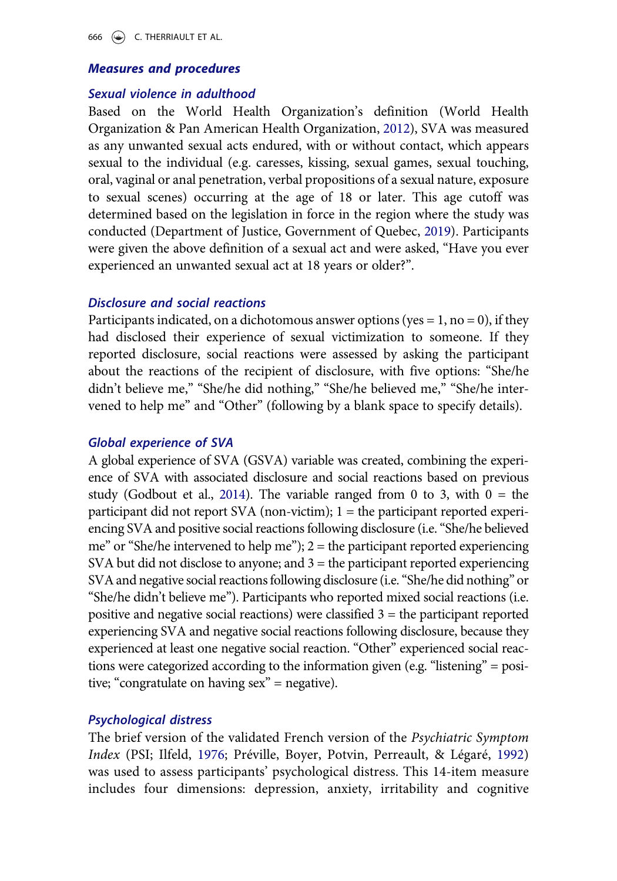#### 666  $\left(\bigstar\right)$  C. THERRIAULT ET AL.

### Measures and procedures

#### Sexual violence in adulthood

Based on the World Health Organization's definition (World Health Organization & Pan American Health Organization, [2012\)](#page-19-0), SVA was measured as any unwanted sexual acts endured, with or without contact, which appears sexual to the individual (e.g. caresses, kissing, sexual games, sexual touching, oral, vaginal or anal penetration, verbal propositions of a sexual nature, exposure to sexual scenes) occurring at the age of 18 or later. This age cutoff was determined based on the legislation in force in the region where the study was conducted (Department of Justice, Government of Quebec, [2019](#page-16-8)). Participants were given the above definition of a sexual act and were asked, "Have you ever experienced an unwanted sexual act at 18 years or older?".

#### <span id="page-6-0"></span>Disclosure and social reactions

Participants indicated, on a dichotomous answer options (yes =  $1$ , no = 0), if they had disclosed their experience of sexual victimization to someone. If they reported disclosure, social reactions were assessed by asking the participant about the reactions of the recipient of disclosure, with five options: "She/he didn't believe me," "She/he did nothing," "She/he believed me," "She/he intervened to help me" and "Other" (following by a blank space to specify details).

#### Global experience of SVA

A global experience of SVA (GSVA) variable was created, combining the experience of SVA with associated disclosure and social reactions based on previous study (Godbout et al., [2014](#page-16-7)). The variable ranged from 0 to 3, with  $0 =$  the participant did not report SVA (non-victim); 1 = the participant reported experiencing SVA and positive social reactions following disclosure (i.e."She/he believed me" or "She/he intervened to help me");  $2 =$  the participant reported experiencing SVA but did not disclose to anyone; and  $3$  = the participant reported experiencing SVA and negative social reactions following disclosure (i.e. "She/he did nothing" or "She/he didn't believe me"). Participants who reported mixed social reactions (i.e. positive and negative social reactions) were classified  $3 =$  the participant reported experiencing SVA and negative social reactions following disclosure, because they experienced at least one negative social reaction. "Other" experienced social reactions were categorized according to the information given (e.g. "listening" = positive; "congratulate on having sex" = negative).

#### Psychological distress

<span id="page-6-1"></span>The brief version of the validated French version of the Psychiatric Symptom Index (PSI; Ilfeld, [1976](#page-17-10); Préville, Boyer, Potvin, Perreault, & Légaré, [1992](#page-18-9)) was used to assess participants' psychological distress. This 14-item measure includes four dimensions: depression, anxiety, irritability and cognitive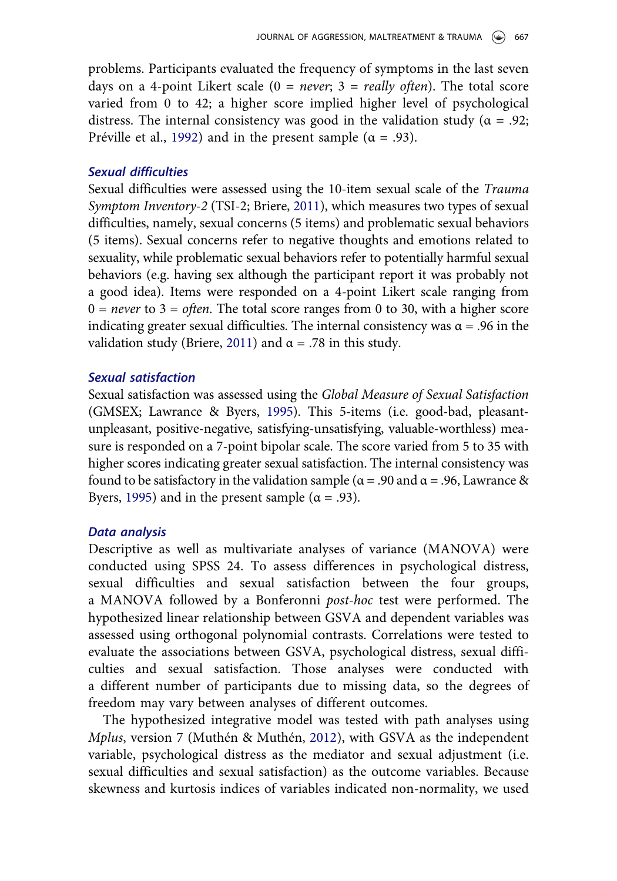problems. Participants evaluated the frequency of symptoms in the last seven days on a 4-point Likert scale  $(0 = never; 3 = really often)$ . The total score varied from 0 to 42; a higher score implied higher level of psychological distress. The internal consistency was good in the validation study ( $\alpha = .92$ ; Préville et al., [1992\)](#page-18-9) and in the present sample ( $\alpha = .93$ ).

#### Sexual difficulties

Sexual difficulties were assessed using the 10-item sexual scale of the Trauma Symptom Inventory-2 (TSI-2; Briere, [2011](#page-16-2)), which measures two types of sexual difficulties, namely, sexual concerns (5 items) and problematic sexual behaviors (5 items). Sexual concerns refer to negative thoughts and emotions related to sexuality, while problematic sexual behaviors refer to potentially harmful sexual behaviors (e.g. having sex although the participant report it was probably not a good idea). Items were responded on a 4-point Likert scale ranging from  $0 =$  never to  $3 =$  often. The total score ranges from 0 to 30, with a higher score indicating greater sexual difficulties. The internal consistency was  $\alpha = .96$  in the validation study (Briere, [2011](#page-16-2)) and  $\alpha$  = .78 in this study.

#### Sexual satisfaction

Sexual satisfaction was assessed using the Global Measure of Sexual Satisfaction (GMSEX; Lawrance & Byers, [1995](#page-17-4)). This 5-items (i.e. good-bad, pleasantunpleasant, positive-negative, satisfying-unsatisfying, valuable-worthless) measure is responded on a 7-point bipolar scale. The score varied from 5 to 35 with higher scores indicating greater sexual satisfaction. The internal consistency was found to be satisfactory in the validation sample ( $\alpha$  = .90 and  $\alpha$  = .96, Lawrance & Byers, [1995](#page-17-4)) and in the present sample ( $\alpha = .93$ ).

#### Data analysis

Descriptive as well as multivariate analyses of variance (MANOVA) were conducted using SPSS 24. To assess differences in psychological distress, sexual difficulties and sexual satisfaction between the four groups, a MANOVA followed by a Bonferonni post-hoc test were performed. The hypothesized linear relationship between GSVA and dependent variables was assessed using orthogonal polynomial contrasts. Correlations were tested to evaluate the associations between GSVA, psychological distress, sexual difficulties and sexual satisfaction. Those analyses were conducted with a different number of participants due to missing data, so the degrees of freedom may vary between analyses of different outcomes.

<span id="page-7-0"></span>The hypothesized integrative model was tested with path analyses using Mplus, version 7 (Muthén & Muthén, [2012](#page-18-10)), with GSVA as the independent variable, psychological distress as the mediator and sexual adjustment (i.e. sexual difficulties and sexual satisfaction) as the outcome variables. Because skewness and kurtosis indices of variables indicated non-normality, we used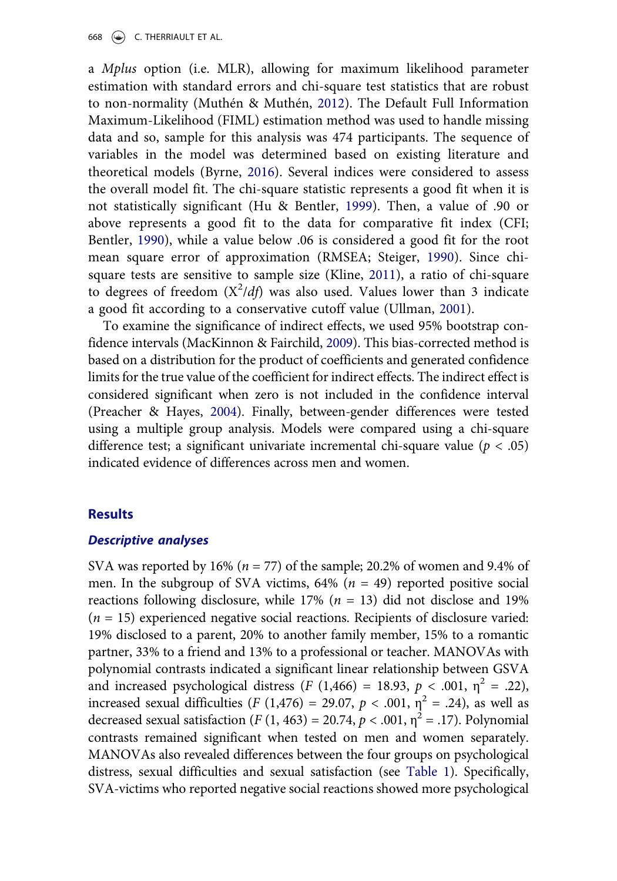<span id="page-8-1"></span>a Mplus option (i.e. MLR), allowing for maximum likelihood parameter estimation with standard errors and chi-square test statistics that are robust to non-normality (Muthén & Muthén, [2012](#page-18-10)). The Default Full Information Maximum-Likelihood (FIML) estimation method was used to handle missing data and so, sample for this analysis was 474 participants. The sequence of variables in the model was determined based on existing literature and theoretical models (Byrne, [2016](#page-16-9)). Several indices were considered to assess the overall model fit. The chi-square statistic represents a good fit when it is not statistically significant (Hu & Bentler, [1999](#page-17-12)). Then, a value of .90 or above represents a good fit to the data for comparative fit index (CFI; Bentler, [1990](#page-15-3)), while a value below .06 is considered a good fit for the root mean square error of approximation (RMSEA; Steiger, [1990\)](#page-18-11). Since chisquare tests are sensitive to sample size (Kline, [2011](#page-17-13)), a ratio of chi-square to degrees of freedom  $(X^2/df)$  was also used. Values lower than 3 indicate a good fit according to a conservative cutoff value (Ullman, [2001](#page-19-8)).

<span id="page-8-7"></span><span id="page-8-6"></span><span id="page-8-5"></span><span id="page-8-4"></span><span id="page-8-3"></span><span id="page-8-2"></span><span id="page-8-0"></span>To examine the significance of indirect effects, we used 95% bootstrap confidence intervals (MacKinnon & Fairchild, [2009](#page-18-12)). This bias-corrected method is based on a distribution for the product of coefficients and generated confidence limits for the true value of the coefficient for indirect effects. The indirect effect is considered significant when zero is not included in the confidence interval (Preacher & Hayes, [2004](#page-18-13)). Finally, between-gender differences were tested using a multiple group analysis. Models were compared using a chi-square difference test; a significant univariate incremental chi-square value ( $p < .05$ ) indicated evidence of differences across men and women.

#### **Results**

#### Descriptive analyses

SVA was reported by 16% ( $n = 77$ ) of the sample; 20.2% of women and 9.4% of men. In the subgroup of SVA victims,  $64\%$  ( $n = 49$ ) reported positive social reactions following disclosure, while 17% ( $n = 13$ ) did not disclose and 19%  $(n = 15)$  experienced negative social reactions. Recipients of disclosure varied: 19% disclosed to a parent, 20% to another family member, 15% to a romantic partner, 33% to a friend and 13% to a professional or teacher. MANOVAs with polynomial contrasts indicated a significant linear relationship between GSVA and increased psychological distress (F (1,466) = 18.93,  $p < .001$ ,  $\eta^2 = .22$ ), increased sexual difficulties (F (1,476) = 29.07,  $p < .001$ ,  $n^2 = .24$ ), as well as decreased sexual satisfaction (F (1, 463) = 20.74,  $p < .001$ ,  $\eta^2 = .17$ ). Polynomial contrasts remained significant when tested on men and women separately. MANOVAs also revealed differences between the four groups on psychological distress, sexual difficulties and sexual satisfaction (see [Table 1\)](#page-9-0). Specifically, SVA-victims who reported negative social reactions showed more psychological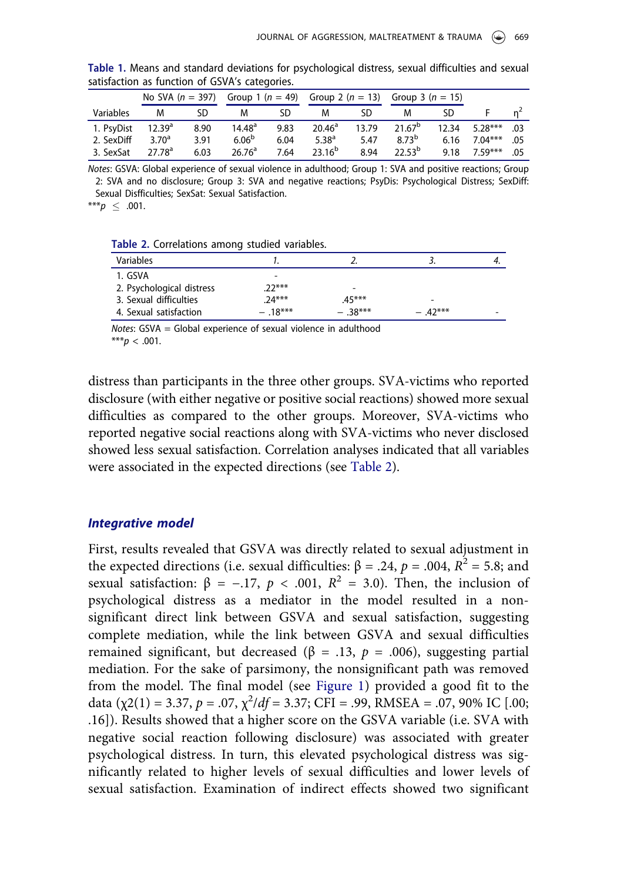|            | No SVA $(n = 397)$ |      | Group 1 ( $n = 49$ ) |      | Group 2 ( $n = 13$ ) |       | Group 3 ( $n = 15$ ) |       |           |     |
|------------|--------------------|------|----------------------|------|----------------------|-------|----------------------|-------|-----------|-----|
| Variables  | M                  | SD   | м                    | SD   | M                    | SD    | M                    | SD    |           |     |
| 1. PsyDist | $12.39^{a}$        | 8.90 | 14.48 <sup>a</sup>   | 9.83 | $20.46^{\circ}$      | 13.79 | 21.67 <sup>b</sup>   | 12.34 | $5.28***$ | .03 |
| 2. SexDiff | 3.70 <sup>a</sup>  | 3.91 | 6.06 <sup>b</sup>    | 6.04 | $5.38^{a}$           | 5.47  | 873 <sup>b</sup>     | 6.16  | $7.04***$ | .05 |
| 3. SexSat  | 27.78 <sup>a</sup> | 6.03 | 26.76 <sup>a</sup>   | 7.64 | $23.16^{b}$          | 8.94  | $22.5^{b}$           | 9.18  | $759***$  | .05 |

<span id="page-9-0"></span>Table 1. Means and standard deviations for psychological distress, sexual difficulties and sexual satisfaction as function of GSVA's categories.

Notes: GSVA: Global experience of sexual violence in adulthood; Group 1: SVA and positive reactions; Group 2: SVA and no disclosure; Group 3: SVA and negative reactions; PsyDis: Psychological Distress; SexDiff: Sexual Disfficulties; SexSat: Sexual Satisfaction.

\*\*\* $p \le .001$ .

<span id="page-9-1"></span>Table 2. Correlations among studied variables.

| Variables                 |           |           |           |  |
|---------------------------|-----------|-----------|-----------|--|
| 1. GSVA                   |           |           |           |  |
| 2. Psychological distress | $22***$   | ۰         |           |  |
| 3. Sexual difficulties    | $24***$   | $.45***$  | -         |  |
| 4. Sexual satisfaction    | $-.18***$ | $-.38***$ | $-.42***$ |  |

Notes: GSVA = Global experience of sexual violence in adulthood \*\*\* $p < .001$ .

distress than participants in the three other groups. SVA-victims who reported disclosure (with either negative or positive social reactions) showed more sexual difficulties as compared to the other groups. Moreover, SVA-victims who reported negative social reactions along with SVA-victims who never disclosed showed less sexual satisfaction. Correlation analyses indicated that all variables were associated in the expected directions (see [Table 2](#page-9-1)).

#### Integrative model

First, results revealed that GSVA was directly related to sexual adjustment in the expected directions (i.e. sexual difficulties: β = .24, p = .004,  $R^2$  = 5.8; and sexual satisfaction:  $\beta = -.17$ ,  $p < .001$ ,  $R^2 = 3.0$ ). Then, the inclusion of psychological distress as a mediator in the model resulted in a nonsignificant direct link between GSVA and sexual satisfaction, suggesting complete mediation, while the link between GSVA and sexual difficulties remained significant, but decreased (β = .13,  $p = .006$ ), suggesting partial mediation. For the sake of parsimony, the nonsignificant path was removed from the model. The final model (see [Figure 1\)](#page-10-0) provided a good fit to the data ( $\chi$ 2(1) = 3.37, p = .07,  $\chi^2/df$  = 3.37; CFI = .99, RMSEA = .07, 90% IC [.00; .16]). Results showed that a higher score on the GSVA variable (i.e. SVA with negative social reaction following disclosure) was associated with greater psychological distress. In turn, this elevated psychological distress was significantly related to higher levels of sexual difficulties and lower levels of sexual satisfaction. Examination of indirect effects showed two significant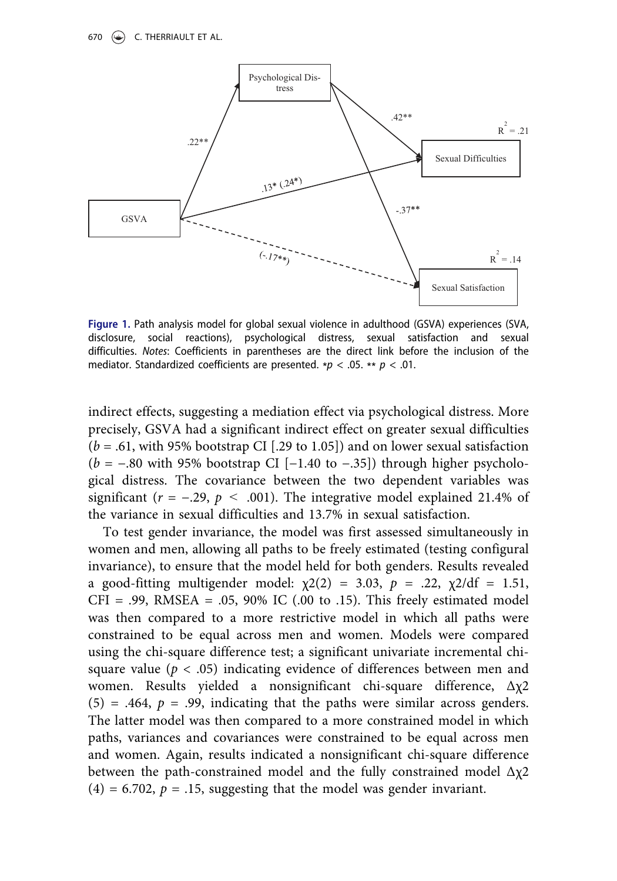

<span id="page-10-0"></span>Figure 1. Path analysis model for global sexual violence in adulthood (GSVA) experiences (SVA, disclosure, social reactions), psychological distress, sexual satisfaction and sexual difficulties. Notes: Coefficients in parentheses are the direct link before the inclusion of the mediator. Standardized coefficients are presented. \* $p < .05$ . \*\*  $p < .01$ .

indirect effects, suggesting a mediation effect via psychological distress. More precisely, GSVA had a significant indirect effect on greater sexual difficulties  $(b = .61,$  with 95% bootstrap CI [.29 to 1.05]) and on lower sexual satisfaction  $(b = -.80$  with 95% bootstrap CI [−1.40 to −.35]) through higher psychological distress. The covariance between the two dependent variables was significant ( $r = -.29$ ,  $p < .001$ ). The integrative model explained 21.4% of the variance in sexual difficulties and 13.7% in sexual satisfaction.

To test gender invariance, the model was first assessed simultaneously in women and men, allowing all paths to be freely estimated (testing configural invariance), to ensure that the model held for both genders. Results revealed a good-fitting multigender model:  $\chi$ 2(2) = 3.03, p = .22,  $\chi$ 2/df = 1.51,  $CFI = .99$ , RMSEA =  $.05$ , 90% IC ( $.00$  to  $.15$ ). This freely estimated model was then compared to a more restrictive model in which all paths were constrained to be equal across men and women. Models were compared using the chi-square difference test; a significant univariate incremental chisquare value ( $p < .05$ ) indicating evidence of differences between men and women. Results yielded a nonsignificant chi-square difference, Δχ2  $(5) = .464$ ,  $p = .99$ , indicating that the paths were similar across genders. The latter model was then compared to a more constrained model in which paths, variances and covariances were constrained to be equal across men and women. Again, results indicated a nonsignificant chi-square difference between the path-constrained model and the fully constrained model  $\Delta \chi$ 2  $(4) = 6.702$ ,  $p = .15$ , suggesting that the model was gender invariant.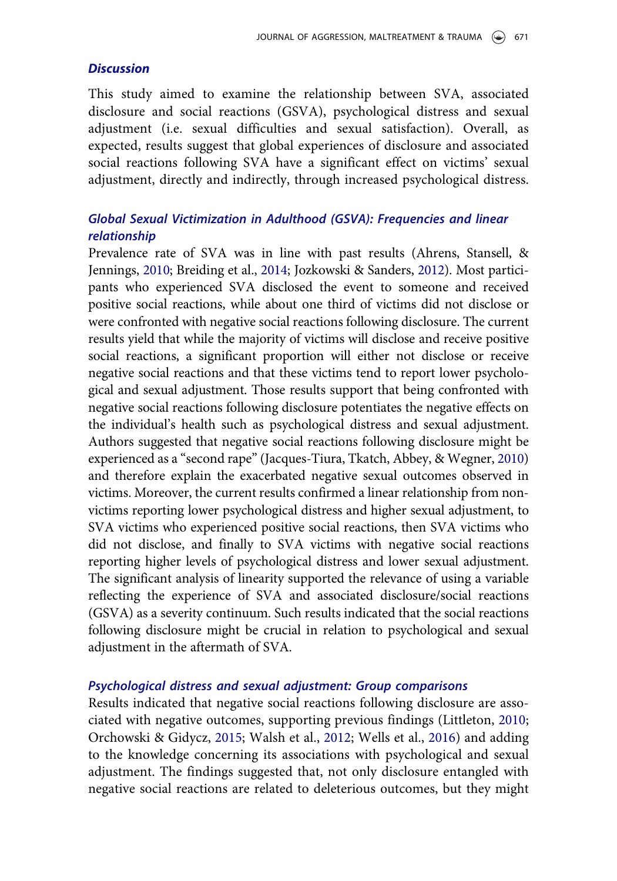#### **Discussion**

This study aimed to examine the relationship between SVA, associated disclosure and social reactions (GSVA), psychological distress and sexual adjustment (i.e. sexual difficulties and sexual satisfaction). Overall, as expected, results suggest that global experiences of disclosure and associated social reactions following SVA have a significant effect on victims' sexual adjustment, directly and indirectly, through increased psychological distress.

## Global Sexual Victimization in Adulthood (GSVA): Frequencies and linear relationship

<span id="page-11-1"></span><span id="page-11-0"></span>Prevalence rate of SVA was in line with past results (Ahrens, Stansell, & Jennings, [2010;](#page-15-4) Breiding et al., [2014;](#page-16-0) Jozkowski & Sanders, [2012\)](#page-17-0). Most participants who experienced SVA disclosed the event to someone and received positive social reactions, while about one third of victims did not disclose or were confronted with negative social reactions following disclosure. The current results yield that while the majority of victims will disclose and receive positive social reactions, a significant proportion will either not disclose or receive negative social reactions and that these victims tend to report lower psychological and sexual adjustment. Those results support that being confronted with negative social reactions following disclosure potentiates the negative effects on the individual's health such as psychological distress and sexual adjustment. Authors suggested that negative social reactions following disclosure might be experienced as a "second rape" (Jacques-Tiura, Tkatch, Abbey, & Wegner, [2010](#page-17-14)) and therefore explain the exacerbated negative sexual outcomes observed in victims. Moreover, the current results confirmed a linear relationship from nonvictims reporting lower psychological distress and higher sexual adjustment, to SVA victims who experienced positive social reactions, then SVA victims who did not disclose, and finally to SVA victims with negative social reactions reporting higher levels of psychological distress and lower sexual adjustment. The significant analysis of linearity supported the relevance of using a variable reflecting the experience of SVA and associated disclosure/social reactions (GSVA) as a severity continuum. Such results indicated that the social reactions following disclosure might be crucial in relation to psychological and sexual adjustment in the aftermath of SVA.

#### Psychological distress and sexual adjustment: Group comparisons

<span id="page-11-2"></span>Results indicated that negative social reactions following disclosure are associated with negative outcomes, supporting previous findings (Littleton, [2010](#page-17-9); Orchowski & Gidycz, [2015;](#page-18-14) Walsh et al., [2012;](#page-19-7) Wells et al., [2016](#page-19-3)) and adding to the knowledge concerning its associations with psychological and sexual adjustment. The findings suggested that, not only disclosure entangled with negative social reactions are related to deleterious outcomes, but they might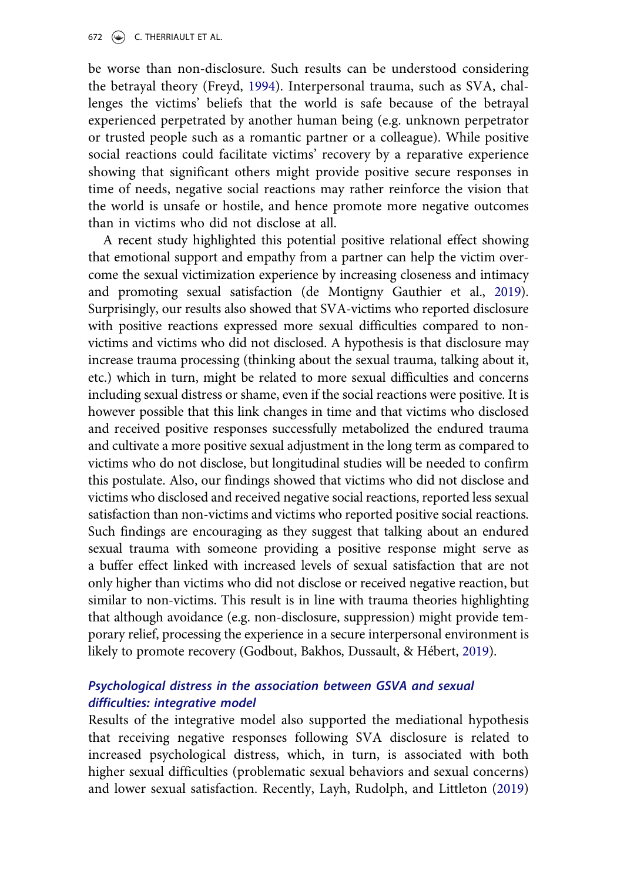<span id="page-12-1"></span>be worse than non-disclosure. Such results can be understood considering the betrayal theory (Freyd, [1994\)](#page-16-10). Interpersonal trauma, such as SVA, challenges the victims' beliefs that the world is safe because of the betrayal experienced perpetrated by another human being (e.g. unknown perpetrator or trusted people such as a romantic partner or a colleague). While positive social reactions could facilitate victims' recovery by a reparative experience showing that significant others might provide positive secure responses in time of needs, negative social reactions may rather reinforce the vision that the world is unsafe or hostile, and hence promote more negative outcomes than in victims who did not disclose at all.

<span id="page-12-0"></span>A recent study highlighted this potential positive relational effect showing that emotional support and empathy from a partner can help the victim overcome the sexual victimization experience by increasing closeness and intimacy and promoting sexual satisfaction (de Montigny Gauthier et al., [2019](#page-16-11)). Surprisingly, our results also showed that SVA-victims who reported disclosure with positive reactions expressed more sexual difficulties compared to nonvictims and victims who did not disclosed. A hypothesis is that disclosure may increase trauma processing (thinking about the sexual trauma, talking about it, etc.) which in turn, might be related to more sexual difficulties and concerns including sexual distress or shame, even if the social reactions were positive. It is however possible that this link changes in time and that victims who disclosed and received positive responses successfully metabolized the endured trauma and cultivate a more positive sexual adjustment in the long term as compared to victims who do not disclose, but longitudinal studies will be needed to confirm this postulate. Also, our findings showed that victims who did not disclose and victims who disclosed and received negative social reactions, reported less sexual satisfaction than non-victims and victims who reported positive social reactions. Such findings are encouraging as they suggest that talking about an endured sexual trauma with someone providing a positive response might serve as a buffer effect linked with increased levels of sexual satisfaction that are not only higher than victims who did not disclose or received negative reaction, but similar to non-victims. This result is in line with trauma theories highlighting that although avoidance (e.g. non-disclosure, suppression) might provide temporary relief, processing the experience in a secure interpersonal environment is likely to promote recovery (Godbout, Bakhos, Dussault, & Hébert, [2019](#page-16-12)).

## <span id="page-12-2"></span>Psychological distress in the association between GSVA and sexual difficulties: integrative model

<span id="page-12-3"></span>Results of the integrative model also supported the mediational hypothesis that receiving negative responses following SVA disclosure is related to increased psychological distress, which, in turn, is associated with both higher sexual difficulties (problematic sexual behaviors and sexual concerns) and lower sexual satisfaction. Recently, Layh, Rudolph, and Littleton ([2019](#page-17-15))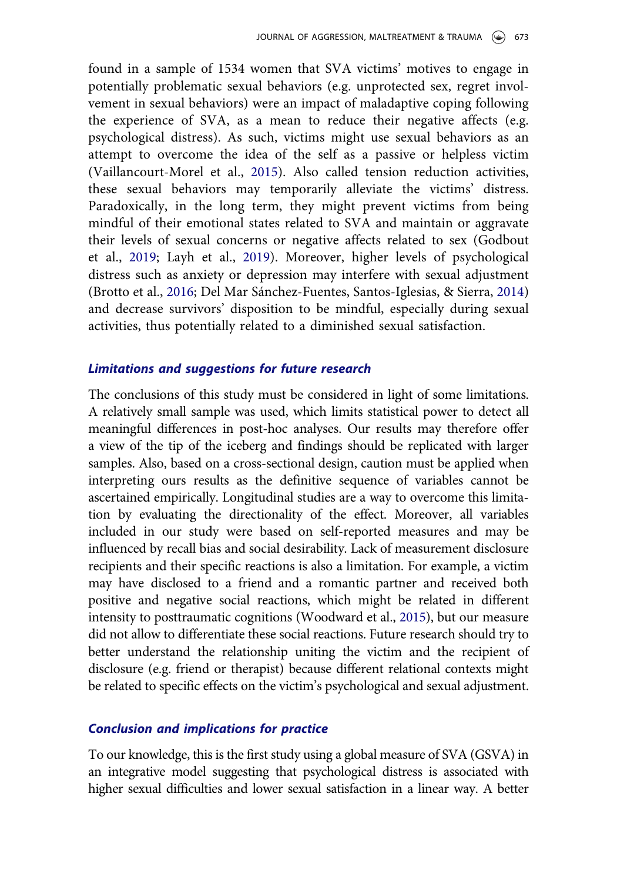<span id="page-13-1"></span>found in a sample of 1534 women that SVA victims' motives to engage in potentially problematic sexual behaviors (e.g. unprotected sex, regret involvement in sexual behaviors) were an impact of maladaptive coping following the experience of SVA, as a mean to reduce their negative affects (e.g. psychological distress). As such, victims might use sexual behaviors as an attempt to overcome the idea of the self as a passive or helpless victim (Vaillancourt-Morel et al., [2015](#page-19-9)). Also called tension reduction activities, these sexual behaviors may temporarily alleviate the victims' distress. Paradoxically, in the long term, they might prevent victims from being mindful of their emotional states related to SVA and maintain or aggravate their levels of sexual concerns or negative affects related to sex (Godbout et al., [2019;](#page-16-12) Layh et al., [2019\)](#page-17-15). Moreover, higher levels of psychological distress such as anxiety or depression may interfere with sexual adjustment (Brotto et al., [2016](#page-16-13); Del Mar Sánchez-Fuentes, Santos-Iglesias, & Sierra, [2014](#page-16-14)) and decrease survivors' disposition to be mindful, especially during sexual activities, thus potentially related to a diminished sexual satisfaction.

#### <span id="page-13-0"></span>Limitations and suggestions for future research

The conclusions of this study must be considered in light of some limitations. A relatively small sample was used, which limits statistical power to detect all meaningful differences in post-hoc analyses. Our results may therefore offer a view of the tip of the iceberg and findings should be replicated with larger samples. Also, based on a cross-sectional design, caution must be applied when interpreting ours results as the definitive sequence of variables cannot be ascertained empirically. Longitudinal studies are a way to overcome this limitation by evaluating the directionality of the effect. Moreover, all variables included in our study were based on self-reported measures and may be influenced by recall bias and social desirability. Lack of measurement disclosure recipients and their specific reactions is also a limitation. For example, a victim may have disclosed to a friend and a romantic partner and received both positive and negative social reactions, which might be related in different intensity to posttraumatic cognitions (Woodward et al., [2015\)](#page-19-10), but our measure did not allow to differentiate these social reactions. Future research should try to better understand the relationship uniting the victim and the recipient of disclosure (e.g. friend or therapist) because different relational contexts might be related to specific effects on the victim's psychological and sexual adjustment.

#### <span id="page-13-2"></span>Conclusion and implications for practice

To our knowledge, this is the first study using a global measure of SVA (GSVA) in an integrative model suggesting that psychological distress is associated with higher sexual difficulties and lower sexual satisfaction in a linear way. A better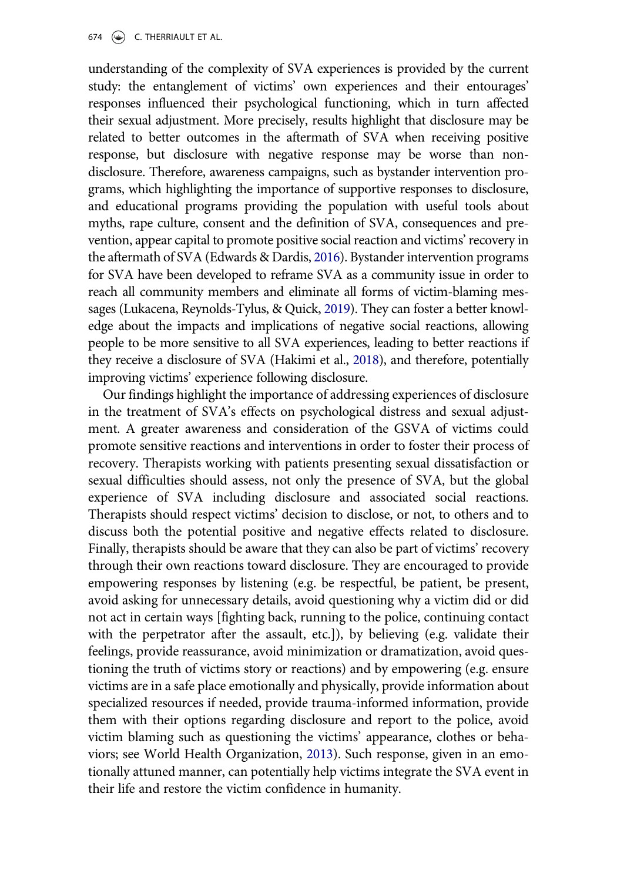understanding of the complexity of SVA experiences is provided by the current study: the entanglement of victims' own experiences and their entourages' responses influenced their psychological functioning, which in turn affected their sexual adjustment. More precisely, results highlight that disclosure may be related to better outcomes in the aftermath of SVA when receiving positive response, but disclosure with negative response may be worse than nondisclosure. Therefore, awareness campaigns, such as bystander intervention programs, which highlighting the importance of supportive responses to disclosure, and educational programs providing the population with useful tools about myths, rape culture, consent and the definition of SVA, consequences and prevention, appear capital to promote positive social reaction and victims'recovery in the aftermath of SVA (Edwards & Dardis, [2016\)](#page-16-15). Bystander intervention programs for SVA have been developed to reframe SVA as a community issue in order to reach all community members and eliminate all forms of victim-blaming messages (Lukacena, Reynolds-Tylus, & Quick, [2019\)](#page-18-15). They can foster a better knowledge about the impacts and implications of negative social reactions, allowing people to be more sensitive to all SVA experiences, leading to better reactions if they receive a disclosure of SVA (Hakimi et al., [2018\)](#page-17-8), and therefore, potentially improving victims' experience following disclosure.

<span id="page-14-2"></span><span id="page-14-1"></span><span id="page-14-0"></span>Our findings highlight the importance of addressing experiences of disclosure in the treatment of SVA's effects on psychological distress and sexual adjustment. A greater awareness and consideration of the GSVA of victims could promote sensitive reactions and interventions in order to foster their process of recovery. Therapists working with patients presenting sexual dissatisfaction or sexual difficulties should assess, not only the presence of SVA, but the global experience of SVA including disclosure and associated social reactions. Therapists should respect victims' decision to disclose, or not, to others and to discuss both the potential positive and negative effects related to disclosure. Finally, therapists should be aware that they can also be part of victims' recovery through their own reactions toward disclosure. They are encouraged to provide empowering responses by listening (e.g. be respectful, be patient, be present, avoid asking for unnecessary details, avoid questioning why a victim did or did not act in certain ways [fighting back, running to the police, continuing contact with the perpetrator after the assault, etc.]), by believing (e.g. validate their feelings, provide reassurance, avoid minimization or dramatization, avoid questioning the truth of victims story or reactions) and by empowering (e.g. ensure victims are in a safe place emotionally and physically, provide information about specialized resources if needed, provide trauma-informed information, provide them with their options regarding disclosure and report to the police, avoid victim blaming such as questioning the victims' appearance, clothes or behaviors; see World Health Organization, [2013\)](#page-19-11). Such response, given in an emotionally attuned manner, can potentially help victims integrate the SVA event in their life and restore the victim confidence in humanity.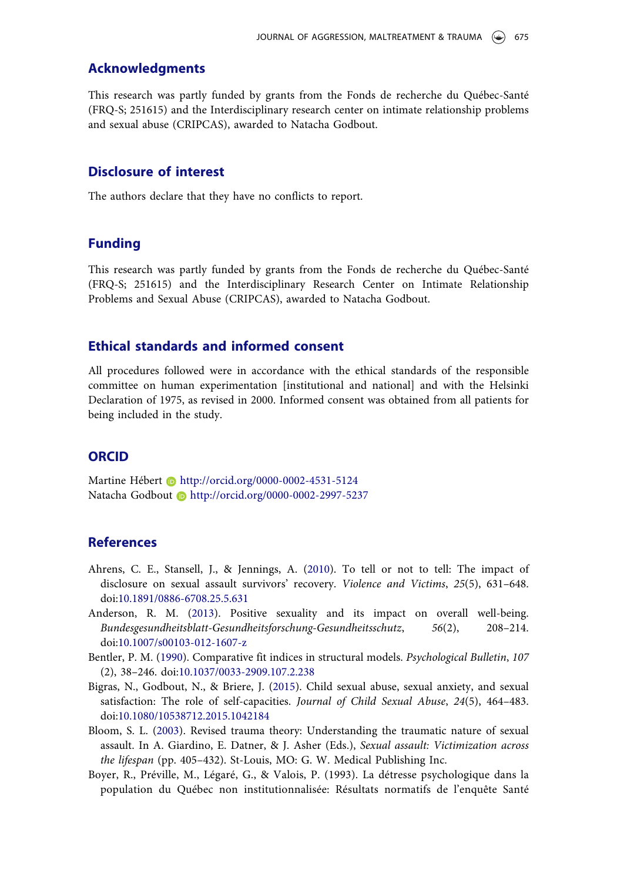#### Acknowledgments

This research was partly funded by grants from the Fonds de recherche du Québec-Santé (FRQ-S; 251615) and the Interdisciplinary research center on intimate relationship problems and sexual abuse (CRIPCAS), awarded to Natacha Godbout.

#### Disclosure of interest

The authors declare that they have no conflicts to report.

#### Funding

This research was partly funded by grants from the Fonds de recherche du Québec-Santé (FRQ-S; 251615) and the Interdisciplinary Research Center on Intimate Relationship Problems and Sexual Abuse (CRIPCAS), awarded to Natacha Godbout.

#### Ethical standards and informed consent

All procedures followed were in accordance with the ethical standards of the responsible committee on human experimentation [institutional and national] and with the Helsinki Declaration of 1975, as revised in 2000. Informed consent was obtained from all patients for being included in the study.

#### **ORCID**

Martine Hébert **b** http://orcid.org/0000-0002-4531-5124 Natacha Godbout **http://orcid.org/0000-0002-2997-5237** 

#### **References**

- <span id="page-15-4"></span>Ahrens, C. E., Stansell, J., & Jennings, A. [\(2010](#page-11-0)). To tell or not to tell: The impact of disclosure on sexual assault survivors' recovery. Violence and Victims, 25(5), 631–648. doi:[10.1891/0886-6708.25.5.631](http://dx.doi.org/10.1891/0886-6708.25.5.631)
- <span id="page-15-0"></span>Anderson, R. M. ([2013\)](#page-2-0). Positive sexuality and its impact on overall well-being. Bundesgesundheitsblatt-Gesundheitsforschung-Gesundheitsschutz, 56(2), 208–214. doi:[10.1007/s00103-012-1607-z](http://dx.doi.org/10.1007/s00103-012-1607-z)
- <span id="page-15-3"></span>Bentler, P. M. ([1990](#page-8-0)). Comparative fit indices in structural models. Psychological Bulletin, 107 (2), 38–246. doi[:10.1037/0033-2909.107.2.238](http://dx.doi.org/10.1037/0033-2909.107.2.238)
- <span id="page-15-1"></span>Bigras, N., Godbout, N., & Briere, J. ([2015](#page-3-0)). Child sexual abuse, sexual anxiety, and sexual satisfaction: The role of self-capacities. Journal of Child Sexual Abuse, 24(5), 464–483. doi:[10.1080/10538712.2015.1042184](http://dx.doi.org/10.1080/10538712.2015.1042184)
- <span id="page-15-2"></span>Bloom, S. L. [\(2003](#page-3-1)). Revised trauma theory: Understanding the traumatic nature of sexual assault. In A. Giardino, E. Datner, & J. Asher (Eds.), Sexual assault: Victimization across the lifespan (pp. 405–432). St-Louis, MO: G. W. Medical Publishing Inc.
- Boyer, R., Préville, M., Légaré, G., & Valois, P. (1993). La détresse psychologique dans la population du Québec non institutionnalisée: Résultats normatifs de l'enquête Santé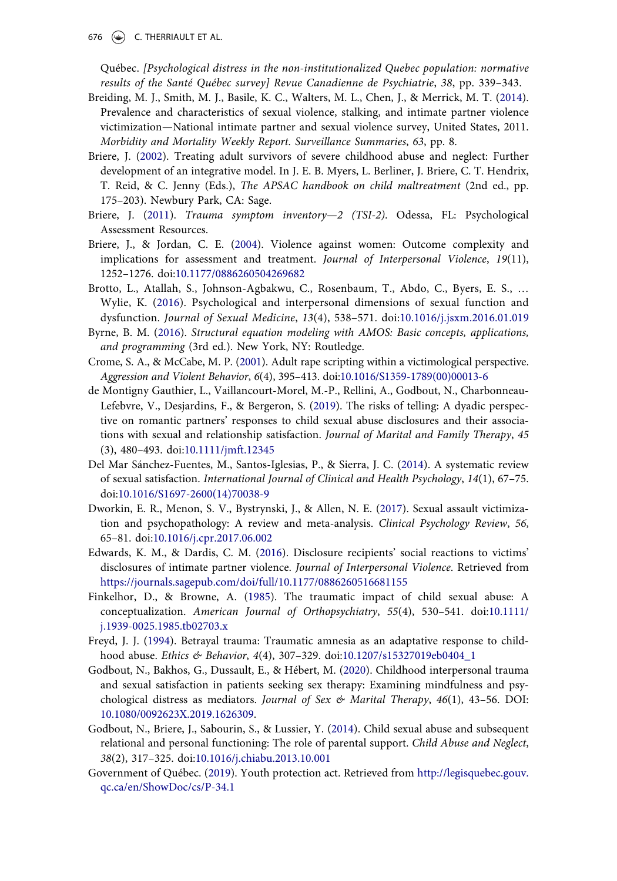676  $\leftrightarrow$  C. THERRIAULT ET AL.

Québec. [Psychological distress in the non-institutionalized Quebec population: normative results of the Santé Québec survey] Revue Canadienne de Psychiatrie, 38, pp. 339–343.

- <span id="page-16-0"></span>Breiding, M. J., Smith, M. J., Basile, K. C., Walters, M. L., Chen, J., & Merrick, M. T. [\(2014\)](#page-1-1). Prevalence and characteristics of sexual violence, stalking, and intimate partner violence victimization—National intimate partner and sexual violence survey, United States, 2011. Morbidity and Mortality Weekly Report. Surveillance Summaries, 63, pp. 8.
- <span id="page-16-4"></span>Briere, J. [\(2002\)](#page-3-2). Treating adult survivors of severe childhood abuse and neglect: Further development of an integrative model. In J. E. B. Myers, L. Berliner, J. Briere, C. T. Hendrix, T. Reid, & C. Jenny (Eds.), The APSAC handbook on child maltreatment (2nd ed., pp. 175–203). Newbury Park, CA: Sage.
- <span id="page-16-2"></span>Briere, J. [\(2011\)](#page-2-1). Trauma symptom inventory—2 (TSI-2). Odessa, FL: Psychological Assessment Resources.
- <span id="page-16-6"></span>Briere, J., & Jordan, C. E. ([2004](#page-3-3)). Violence against women: Outcome complexity and implications for assessment and treatment. Journal of Interpersonal Violence, 19(11), 1252–1276. doi[:10.1177/0886260504269682](http://dx.doi.org/10.1177/0886260504269682)
- <span id="page-16-13"></span>Brotto, L., Atallah, S., Johnson-Agbakwu, C., Rosenbaum, T., Abdo, C., Byers, E. S., … Wylie, K. [\(2016\)](#page-13-0). Psychological and interpersonal dimensions of sexual function and dysfunction. Journal of Sexual Medicine, 13(4), 538–571. doi:[10.1016/j.jsxm.2016.01.019](http://dx.doi.org/10.1016/j.jsxm.2016.01.019)
- <span id="page-16-9"></span>Byrne, B. M. [\(2016](#page-8-1)). Structural equation modeling with AMOS: Basic concepts, applications, and programming (3rd ed.). New York, NY: Routledge.
- <span id="page-16-5"></span>Crome, S. A., & McCabe, M. P. ([2001\)](#page-3-4). Adult rape scripting within a victimological perspective. Aggression and Violent Behavior, 6(4), 395–413. doi[:10.1016/S1359-1789\(00\)00013-6](http://dx.doi.org/10.1016/S1359-1789(00)00013-6)
- <span id="page-16-11"></span>de Montigny Gauthier, L., Vaillancourt-Morel, M.-P., Rellini, A., Godbout, N., Charbonneau-Lefebvre, V., Desjardins, F., & Bergeron, S. [\(2019](#page-12-0)). The risks of telling: A dyadic perspective on romantic partners' responses to child sexual abuse disclosures and their associations with sexual and relationship satisfaction. Journal of Marital and Family Therapy, 45 (3), 480–493. doi:[10.1111/jmft.12345](http://dx.doi.org/10.1111/jmft.12345)
- <span id="page-16-14"></span>Del Mar Sánchez-Fuentes, M., Santos-Iglesias, P., & Sierra, J. C. ([2014](#page-13-0)). A systematic review of sexual satisfaction. International Journal of Clinical and Health Psychology, 14(1), 67–75. doi:[10.1016/S1697-2600\(14\)70038-9](http://dx.doi.org/10.1016/S1697-2600(14)70038-9)
- <span id="page-16-1"></span>Dworkin, E. R., Menon, S. V., Bystrynski, J., & Allen, N. E. [\(2017\)](#page-1-2). Sexual assault victimization and psychopathology: A review and meta-analysis. Clinical Psychology Review, 56, 65–81. doi[:10.1016/j.cpr.2017.06.002](http://dx.doi.org/10.1016/j.cpr.2017.06.002)
- <span id="page-16-15"></span>Edwards, K. M., & Dardis, C. M. [\(2016](#page-14-0)). Disclosure recipients' social reactions to victims' disclosures of intimate partner violence. Journal of Interpersonal Violence. Retrieved from <https://journals.sagepub.com/doi/full/10.1177/0886260516681155>
- <span id="page-16-3"></span>Finkelhor, D., & Browne, A. ([1985\)](#page-2-2). The traumatic impact of child sexual abuse: A conceptualization. American Journal of Orthopsychiatry, 55(4), 530–541. doi[:10.1111/](http://dx.doi.org/10.1111/j.1939-0025.1985.tb02703.x) [j.1939-0025.1985.tb02703.x](http://dx.doi.org/10.1111/j.1939-0025.1985.tb02703.x)
- <span id="page-16-10"></span>Freyd, J. J. ([1994\)](#page-12-1). Betrayal trauma: Traumatic amnesia as an adaptative response to child-hood abuse. Ethics & Behavior, 4(4), 307-329. doi:[10.1207/s15327019eb0404\\_1](http://dx.doi.org/10.1207/s15327019eb0404_1)
- <span id="page-16-12"></span>Godbout, N., Bakhos, G., Dussault, E., & Hébert, M. ([2020\)](#page-12-2). Childhood interpersonal trauma and sexual satisfaction in patients seeking sex therapy: Examining mindfulness and psychological distress as mediators. Journal of Sex  $\&$  Marital Therapy, 46(1), 43-56. DOI: [10.1080/0092623X.2019.1626309](http://dx.doi.org/10.1080/0092623X.2019.1626309).
- <span id="page-16-7"></span>Godbout, N., Briere, J., Sabourin, S., & Lussier, Y. ([2014\)](#page-3-5). Child sexual abuse and subsequent relational and personal functioning: The role of parental support. Child Abuse and Neglect, 38(2), 317–325. doi:[10.1016/j.chiabu.2013.10.001](http://dx.doi.org/10.1016/j.chiabu.2013.10.001)
- <span id="page-16-8"></span>Government of Québec. [\(2019](#page-6-0)). Youth protection act. Retrieved from [http://legisquebec.gouv.](http://legisquebec.gouv.qc.ca/en/ShowDoc/cs/P-34.1) [qc.ca/en/ShowDoc/cs/P-34.1](http://legisquebec.gouv.qc.ca/en/ShowDoc/cs/P-34.1)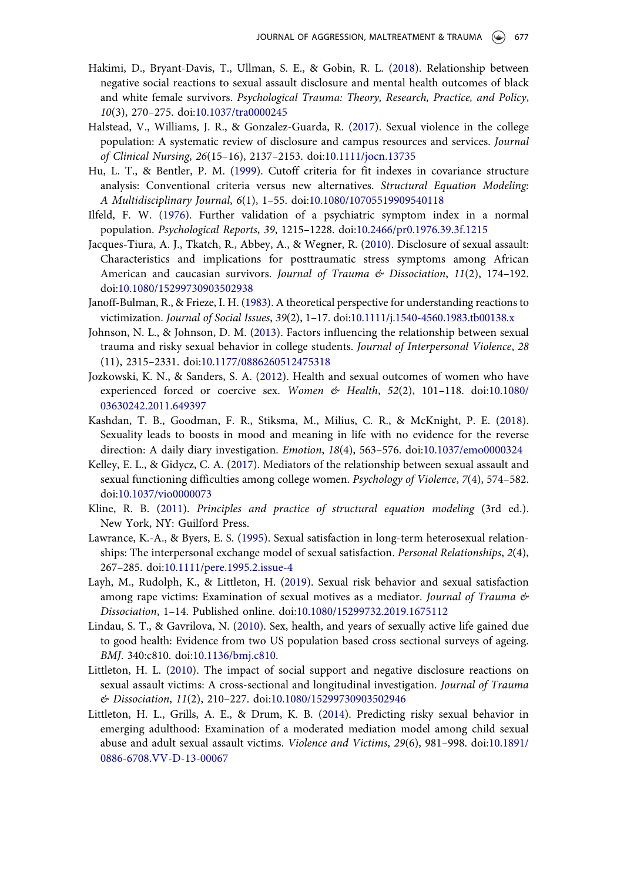- <span id="page-17-8"></span>Hakimi, D., Bryant-Davis, T., Ullman, S. E., & Gobin, R. L. ([2018\)](#page-3-6). Relationship between negative social reactions to sexual assault disclosure and mental health outcomes of black and white female survivors. Psychological Trauma: Theory, Research, Practice, and Policy, 10(3), 270–275. doi:[10.1037/tra0000245](http://dx.doi.org/10.1037/tra0000245)
- <span id="page-17-1"></span>Halstead, V., Williams, J. R., & Gonzalez-Guarda, R. ([2017](#page-1-3)). Sexual violence in the college population: A systematic review of disclosure and campus resources and services. Journal of Clinical Nursing, 26(15–16), 2137–2153. doi[:10.1111/jocn.13735](http://dx.doi.org/10.1111/jocn.13735)
- <span id="page-17-12"></span>Hu, L. T., & Bentler, P. M. [\(1999\)](#page-8-2). Cutoff criteria for fit indexes in covariance structure analysis: Conventional criteria versus new alternatives. Structural Equation Modeling: A Multidisciplinary Journal, 6(1), 1–55. doi:[10.1080/10705519909540118](http://dx.doi.org/10.1080/10705519909540118)
- <span id="page-17-10"></span>Ilfeld, F. W. [\(1976](#page-4-0)). Further validation of a psychiatric symptom index in a normal population. Psychological Reports, 39, 1215–1228. doi[:10.2466/pr0.1976.39.3f.1215](http://dx.doi.org/10.2466/pr0.1976.39.3f.1215)
- <span id="page-17-14"></span>Jacques-Tiura, A. J., Tkatch, R., Abbey, A., & Wegner, R. [\(2010](#page-11-1)). Disclosure of sexual assault: Characteristics and implications for posttraumatic stress symptoms among African American and caucasian survivors. Journal of Trauma  $\&$  Dissociation, 11(2), 174-192. doi:[10.1080/15299730903502938](http://dx.doi.org/10.1080/15299730903502938)
- <span id="page-17-7"></span>Janoff-Bulman, R., & Frieze, I. H. [\(1983](#page-3-4)). A theoretical perspective for understanding reactions to victimization. Journal of Social Issues, 39(2), 1–17. doi:[10.1111/j.1540-4560.1983.tb00138.x](http://dx.doi.org/10.1111/j.1540-4560.1983.tb00138.x)
- <span id="page-17-5"></span>Johnson, N. L., & Johnson, D. M. ([2013\)](#page-2-3). Factors influencing the relationship between sexual trauma and risky sexual behavior in college students. Journal of Interpersonal Violence, 28 (11), 2315–2331. doi[:10.1177/0886260512475318](http://dx.doi.org/10.1177/0886260512475318)
- <span id="page-17-0"></span>Jozkowski, K. N., & Sanders, S. A. [\(2012\)](#page-1-1). Health and sexual outcomes of women who have experienced forced or coercive sex. Women  $\&$  Health, 52(2), 101-118. doi[:10.1080/](http://dx.doi.org/10.1080/03630242.2011.649397) [03630242.2011.649397](http://dx.doi.org/10.1080/03630242.2011.649397)
- <span id="page-17-3"></span>Kashdan, T. B., Goodman, F. R., Stiksma, M., Milius, C. R., & McKnight, P. E. [\(2018\)](#page-2-4). Sexuality leads to boosts in mood and meaning in life with no evidence for the reverse direction: A daily diary investigation. Emotion, 18(4), 563–576. doi:[10.1037/emo0000324](http://dx.doi.org/10.1037/emo0000324)
- <span id="page-17-11"></span>Kelley, E. L., & Gidycz, C. A. ([2017\)](#page-4-1). Mediators of the relationship between sexual assault and sexual functioning difficulties among college women. Psychology of Violence, 7(4), 574–582. doi:[10.1037/vio0000073](http://dx.doi.org/10.1037/vio0000073)
- <span id="page-17-13"></span>Kline, R. B. [\(2011](#page-8-3)). Principles and practice of structural equation modeling (3rd ed.). New York, NY: Guilford Press.
- <span id="page-17-4"></span>Lawrance, K.-A., & Byers, E. S. [\(1995](#page-2-5)). Sexual satisfaction in long-term heterosexual relationships: The interpersonal exchange model of sexual satisfaction. Personal Relationships, 2(4), 267–285. doi[:10.1111/pere.1995.2.issue-4](http://dx.doi.org/10.1111/pere.1995.2.issue-4)
- <span id="page-17-15"></span>Layh, M., Rudolph, K., & Littleton, H. [\(2019\)](#page-12-3). Sexual risk behavior and sexual satisfaction among rape victims: Examination of sexual motives as a mediator. Journal of Trauma  $\mathfrak{G}$ Dissociation, 1–14. Published online. doi[:10.1080/15299732.2019.1675112](http://dx.doi.org/10.1080/15299732.2019.1675112)
- <span id="page-17-2"></span>Lindau, S. T., & Gavrilova, N. ([2010\)](#page-2-6). Sex, health, and years of sexually active life gained due to good health: Evidence from two US population based cross sectional surveys of ageing. BMJ. 340:c810. doi:[10.1136/bmj.c810](http://dx.doi.org/10.1136/bmj.c810).
- <span id="page-17-9"></span>Littleton, H. L. ([2010](#page-3-6)). The impact of social support and negative disclosure reactions on sexual assault victims: A cross-sectional and longitudinal investigation. Journal of Trauma & Dissociation, 11(2), 210–227. doi[:10.1080/15299730903502946](http://dx.doi.org/10.1080/15299730903502946)
- <span id="page-17-6"></span>Littleton, H. L., Grills, A. E., & Drum, K. B. [\(2014\)](#page-2-7). Predicting risky sexual behavior in emerging adulthood: Examination of a moderated mediation model among child sexual abuse and adult sexual assault victims. Violence and Victims, 29(6), 981–998. doi[:10.1891/](http://dx.doi.org/10.1891/0886-6708.VV-D-13-00067) [0886-6708.VV-D-13-00067](http://dx.doi.org/10.1891/0886-6708.VV-D-13-00067)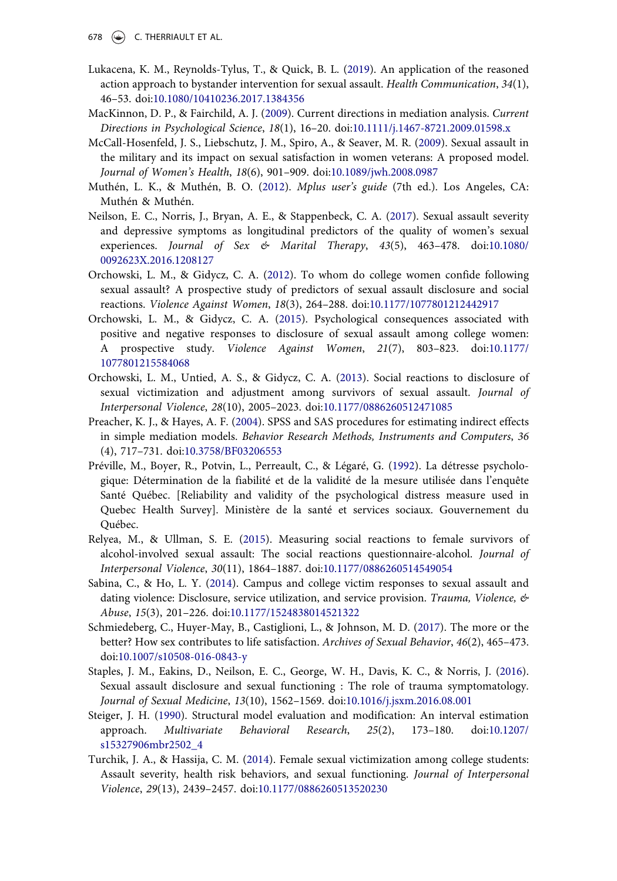- 678  $\left(\rightarrow\right)$  C. THERRIAULT ET AL.
- <span id="page-18-15"></span>Lukacena, K. M., Reynolds-Tylus, T., & Quick, B. L. ([2019\)](#page-14-1). An application of the reasoned action approach to bystander intervention for sexual assault. Health Communication, 34(1), 46–53. doi[:10.1080/10410236.2017.1384356](http://dx.doi.org/10.1080/10410236.2017.1384356)
- <span id="page-18-12"></span>MacKinnon, D. P., & Fairchild, A. J. ([2009\)](#page-8-4). Current directions in mediation analysis. Current Directions in Psychological Science, 18(1), 16–20. doi[:10.1111/j.1467-8721.2009.01598.x](http://dx.doi.org/10.1111/j.1467-8721.2009.01598.x)
- <span id="page-18-2"></span>McCall-Hosenfeld, J. S., Liebschutz, J. M., Spiro, A., & Seaver, M. R. ([2009](#page-2-8)). Sexual assault in the military and its impact on sexual satisfaction in women veterans: A proposed model. Journal of Women's Health, 18(6), 901–909. doi[:10.1089/jwh.2008.0987](http://dx.doi.org/10.1089/jwh.2008.0987)
- <span id="page-18-10"></span>Muthén, L. K., & Muthén, B. O. [\(2012\)](#page-7-0). Mplus user's guide (7th ed.). Los Angeles, CA: Muthén & Muthén.
- <span id="page-18-7"></span>Neilson, E. C., Norris, J., Bryan, A. E., & Stappenbeck, C. A. ([2017\)](#page-4-2). Sexual assault severity and depressive symptoms as longitudinal predictors of the quality of women's sexual experiences. Journal of Sex  $\&$  Marital Therapy, 43(5), 463-478. doi[:10.1080/](http://dx.doi.org/10.1080/0092623X.2016.1208127) [0092623X.2016.1208127](http://dx.doi.org/10.1080/0092623X.2016.1208127)
- <span id="page-18-3"></span>Orchowski, L. M., & Gidycz, C. A. [\(2012\)](#page-3-7). To whom do college women confide following sexual assault? A prospective study of predictors of sexual assault disclosure and social reactions. Violence Against Women, 18(3), 264–288. doi:[10.1177/1077801212442917](http://dx.doi.org/10.1177/1077801212442917)
- <span id="page-18-14"></span>Orchowski, L. M., & Gidycz, C. A. ([2015](#page-11-2)). Psychological consequences associated with positive and negative responses to disclosure of sexual assault among college women: A prospective study. Violence Against Women, 21(7), 803–823. doi[:10.1177/](http://dx.doi.org/10.1177/1077801215584068) [1077801215584068](http://dx.doi.org/10.1177/1077801215584068)
- <span id="page-18-5"></span>Orchowski, L. M., Untied, A. S., & Gidycz, C. A. ([2013](#page-3-6)). Social reactions to disclosure of sexual victimization and adjustment among survivors of sexual assault. Journal of Interpersonal Violence, 28(10), 2005–2023. doi[:10.1177/0886260512471085](http://dx.doi.org/10.1177/0886260512471085)
- <span id="page-18-13"></span>Preacher, K. J., & Hayes, A. F. [\(2004\)](#page-8-5). SPSS and SAS procedures for estimating indirect effects in simple mediation models. Behavior Research Methods, Instruments and Computers, 36 (4), 717–731. doi:[10.3758/BF03206553](http://dx.doi.org/10.3758/BF03206553)
- <span id="page-18-9"></span>Préville, M., Boyer, R., Potvin, L., Perreault, C., & Légaré, G. [\(1992\)](#page-6-1). La détresse psychologique: Détermination de la fiabilité et de la validité de la mesure utilisée dans l'enquête Santé Québec. [Reliability and validity of the psychological distress measure used in Quebec Health Survey]. Ministère de la santé et services sociaux. Gouvernement du Québec.
- <span id="page-18-6"></span>Relyea, M., & Ullman, S. E. ([2015\)](#page-4-3). Measuring social reactions to female survivors of alcohol-involved sexual assault: The social reactions questionnaire-alcohol. Journal of Interpersonal Violence, 30(11), 1864–1887. doi:[10.1177/0886260514549054](http://dx.doi.org/10.1177/0886260514549054)
- <span id="page-18-4"></span>Sabina, C., & Ho, L. Y. [\(2014\)](#page-3-8). Campus and college victim responses to sexual assault and dating violence: Disclosure, service utilization, and service provision. Trauma, Violence,  $\phi$ Abuse, 15(3), 201–226. doi:[10.1177/1524838014521322](http://dx.doi.org/10.1177/1524838014521322)
- <span id="page-18-0"></span>Schmiedeberg, C., Huyer-May, B., Castiglioni, L., & Johnson, M. D. [\(2017](#page-2-9)). The more or the better? How sex contributes to life satisfaction. Archives of Sexual Behavior, 46(2), 465–473. doi:[10.1007/s10508-016-0843-y](http://dx.doi.org/10.1007/s10508-016-0843-y)
- <span id="page-18-8"></span>Staples, J. M., Eakins, D., Neilson, E. C., George, W. H., Davis, K. C., & Norris, J. [\(2016\)](#page-4-4). Sexual assault disclosure and sexual functioning : The role of trauma symptomatology. Journal of Sexual Medicine, 13(10), 1562–1569. doi:[10.1016/j.jsxm.2016.08.001](http://dx.doi.org/10.1016/j.jsxm.2016.08.001)
- <span id="page-18-11"></span>Steiger, J. H. [\(1990\)](#page-8-6). Structural model evaluation and modification: An interval estimation approach. Multivariate Behavioral Research, 25(2), 173–180. doi[:10.1207/](http://dx.doi.org/10.1207/s15327906mbr2502_4) [s15327906mbr2502\\_4](http://dx.doi.org/10.1207/s15327906mbr2502_4)
- <span id="page-18-1"></span>Turchik, J. A., & Hassija, C. M. ([2014\)](#page-2-10). Female sexual victimization among college students: Assault severity, health risk behaviors, and sexual functioning. Journal of Interpersonal Violence, 29(13), 2439–2457. doi:[10.1177/0886260513520230](http://dx.doi.org/10.1177/0886260513520230)